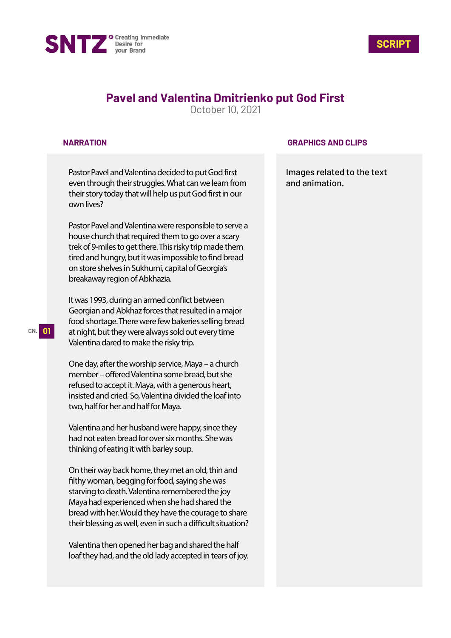



# **Pavel and Valentina Dmitrienko put God First**

October 10, 2021

#### **NARRATION**

Pastor Pavel and Valentina decided to put God first even through their struggles. What can we learn from their story today that will help us put God first in our own lives?

Pastor Pavel and Valentina were responsible to serve a house church that required them to go over a scary trek of 9-miles to get there. This risky trip made them tired and hungry, but it was impossible to find bread on store shelves in Sukhumi, capital of Georgia's breakaway region of Abkhazia.

It was 1993, during an armed conflict between Georgian and Abkhaz forces that resulted in a major food shortage. There were few bakeries selling bread at night, but they were always sold out every time Valentina dared to make the risky trip.

One day, after the worship service, Maya – a church member – offered Valentina some bread, but she refused to accept it. Maya, with a generous heart, insisted and cried. So, Valentina divided the loaf into two, half for her and half for Maya.

Valentina and her husband were happy, since they had not eaten bread for over six months. She was thinking of eating it with barley soup.

On their way back home, they met an old, thin and filthy woman, begging for food, saying she was starving to death. Valentina remembered the joy Maya had experienced when she had shared the bread with her. Would they have the courage to share their blessing as well, even in such a difficult situation?

Valentina then opened her bag and shared the half loaf they had, and the old lady accepted in tears of joy.

### **GRAPHICS AND CLIPS**

Images related to the text and animation.